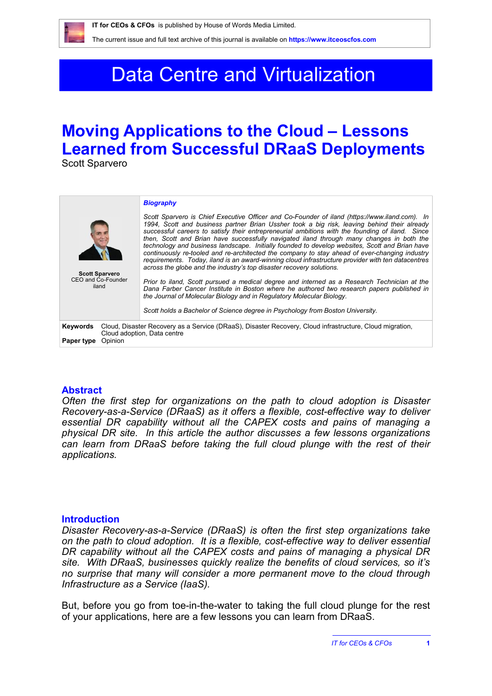

The current issue and full text archive of this journal is available on **<https://www.itceoscfos.com>** 

# Data Centre and Virtualization

## **Moving Applications to the Cloud – Lessons Learned from Successful DRaaS Deployments**

Scott Sparvero

| <b>Scott Sparvero</b><br>CEO and Co-Founder<br>iland                                                                                                                         | <b>Biography</b><br>Scott Sparvero is Chief Executive Officer and Co-Founder of iland (https://www.iland.com). In<br>1994. Scott and business partner Brian Ussher took a big risk, leaving behind their already<br>successful careers to satisfy their entrepreneurial ambitions with the founding of iland. Since<br>then. Scott and Brian have successfully navigated iland through many changes in both the<br>technology and business landscape. Initially founded to develop websites, Scott and Brian have<br>continuously re-tooled and re-architected the company to stay ahead of ever-changing industry<br>requirements. Today, iland is an award-winning cloud infrastructure provider with ten datacentres<br>across the globe and the industry's top disaster recovery solutions.<br>Prior to iland, Scott pursued a medical degree and interned as a Research Technician at the<br>Dana Farber Cancer Institute in Boston where he authored two research papers published in<br>the Journal of Molecular Biology and in Regulatory Molecular Biology.<br>Scott holds a Bachelor of Science degree in Psychology from Boston University. |
|------------------------------------------------------------------------------------------------------------------------------------------------------------------------------|--------------------------------------------------------------------------------------------------------------------------------------------------------------------------------------------------------------------------------------------------------------------------------------------------------------------------------------------------------------------------------------------------------------------------------------------------------------------------------------------------------------------------------------------------------------------------------------------------------------------------------------------------------------------------------------------------------------------------------------------------------------------------------------------------------------------------------------------------------------------------------------------------------------------------------------------------------------------------------------------------------------------------------------------------------------------------------------------------------------------------------------------------------|
| Cloud, Disaster Recovery as a Service (DRaaS), Disaster Recovery, Cloud infrastructure, Cloud migration,<br>Keywords<br>Cloud adoption, Data centre<br>Opinion<br>Paper type |                                                                                                                                                                                                                                                                                                                                                                                                                                                                                                                                                                                                                                                                                                                                                                                                                                                                                                                                                                                                                                                                                                                                                        |

#### **Abstract**

*Often the first step for organizations on the path to cloud adoption is Disaster Recovery-as-a-Service (DRaaS) as it offers a flexible, cost-effective way to deliver essential DR capability without all the CAPEX costs and pains of managing a physical DR site. In this article the author discusses a few lessons organizations*  can learn from DRaaS before taking the full cloud plunge with the rest of their *applications.*

#### **Introduction**

*Disaster Recovery-as-a-Service (DRaaS) is often the first step organizations take on the path to cloud adoption. It is a flexible, cost-effective way to deliver essential DR capability without all the CAPEX costs and pains of managing a physical DR site. With DRaaS, businesses quickly realize the benefits of cloud services, so it's no surprise that many will consider a more permanent move to the cloud through Infrastructure as a Service (IaaS).* 

But, before you go from toe-in-the-water to taking the full cloud plunge for the rest of your applications, here are a few lessons you can learn from DRaaS.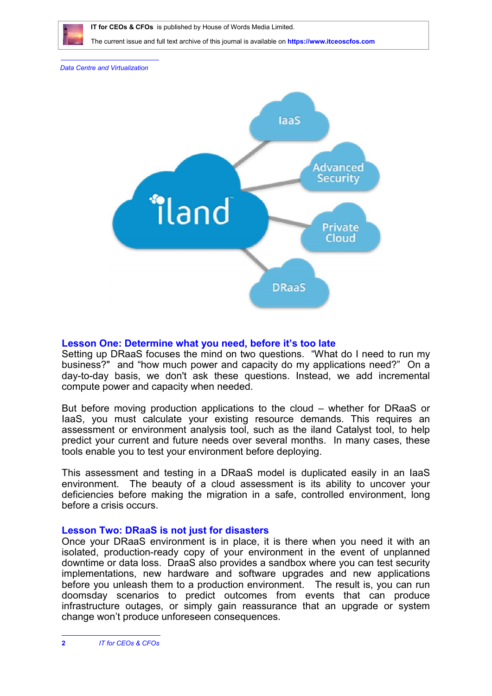

 **IT for CEOs & CFOs** is published by House of Words Media Limited.

The current issue and full text archive of this journal is available on **<https://www.itceoscfos.com>** 

*Data Centre and Virtualization*



## **Lesson One: Determine what you need, before it's too late**

Setting up DRaaS focuses the mind on two questions. "What do I need to run my business?" and "how much power and capacity do my applications need?" On a day-to-day basis, we don't ask these questions. Instead, we add incremental compute power and capacity when needed.

But before moving production applications to the cloud – whether for DRaaS or IaaS, you must calculate your existing resource demands. This requires an assessment or environment analysis tool, such as the iland Catalyst tool, to help predict your current and future needs over several months. In many cases, these tools enable you to test your environment before deploying.

This assessment and testing in a DRaaS model is duplicated easily in an IaaS environment. The beauty of a cloud assessment is its ability to uncover your deficiencies before making the migration in a safe, controlled environment, long before a crisis occurs.

## **Lesson Two: DRaaS is not just for disasters**

Once your DRaaS environment is in place, it is there when you need it with an isolated, production-ready copy of your environment in the event of unplanned downtime or data loss. DraaS also provides a sandbox where you can test security implementations, new hardware and software upgrades and new applications before you unleash them to a production environment. The result is, you can run doomsday scenarios to predict outcomes from events that can produce infrastructure outages, or simply gain reassurance that an upgrade or system change won't produce unforeseen consequences.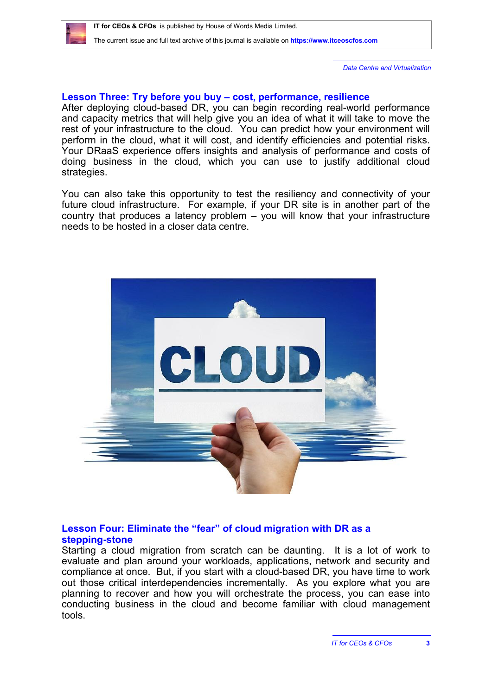*Data Centre and Virtualization*

### **Lesson Three: Try before you buy – cost, performance, resilience**

After deploying cloud-based DR, you can begin recording real-world performance and capacity metrics that will help give you an idea of what it will take to move the rest of your infrastructure to the cloud. You can predict how your environment will perform in the cloud, what it will cost, and identify efficiencies and potential risks. Your DRaaS experience offers insights and analysis of performance and costs of doing business in the cloud, which you can use to justify additional cloud strategies.

You can also take this opportunity to test the resiliency and connectivity of your future cloud infrastructure. For example, if your DR site is in another part of the country that produces a latency problem – you will know that your infrastructure needs to be hosted in a closer data centre.



### **Lesson Four: Eliminate the "fear" of cloud migration with DR as a stepping-stone**

Starting a cloud migration from scratch can be daunting. It is a lot of work to evaluate and plan around your workloads, applications, network and security and compliance at once. But, if you start with a cloud-based DR, you have time to work out those critical interdependencies incrementally. As you explore what you are planning to recover and how you will orchestrate the process, you can ease into conducting business in the cloud and become familiar with cloud management tools.